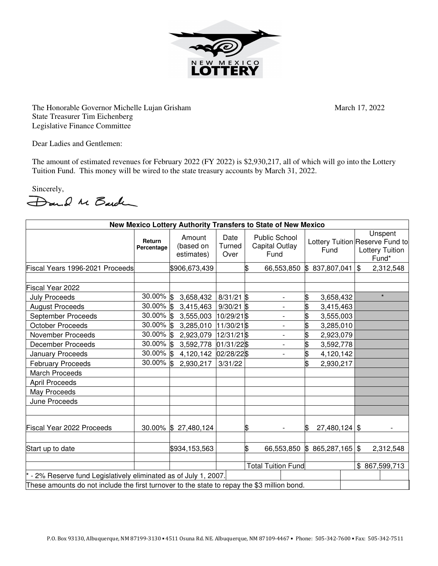

The Honorable Governor Michelle Lujan Grisham March 17, 2022 State Treasurer Tim Eichenberg Legislative Finance Committee

Dear Ladies and Gentlemen:

The amount of estimated revenues for February 2022 (FY 2022) is \$2,930,217, all of which will go into the Lottery Tuition Fund. This money will be wired to the state treasury accounts by March 31, 2022.

Sincerely,<br>Dand M Barden

| New Mexico Lottery Authority Transfers to State of New Mexico                               |                      |                                   |                        |                           |                                                       |                 |  |                                                                               |           |
|---------------------------------------------------------------------------------------------|----------------------|-----------------------------------|------------------------|---------------------------|-------------------------------------------------------|-----------------|--|-------------------------------------------------------------------------------|-----------|
|                                                                                             | Return<br>Percentage | Amount<br>(based on<br>estimates) | Date<br>Turned<br>Over |                           | <b>Public School</b><br><b>Capital Outlay</b><br>Fund | Fund            |  | Unspent<br>Lottery Tuition Reserve Fund to<br><b>Lottery Tuition</b><br>Fund* |           |
| Fiscal Years 1996-2021 Proceeds                                                             |                      | \$906,673,439                     |                        | \$                        | 66,553,850                                            | \$837,807,041   |  | $\mathfrak{S}$                                                                | 2,312,548 |
|                                                                                             |                      |                                   |                        |                           |                                                       |                 |  |                                                                               |           |
| Fiscal Year 2022                                                                            |                      |                                   |                        |                           |                                                       |                 |  |                                                                               |           |
| <b>July Proceeds</b>                                                                        | 30.00% \$            | 3,658,432                         | $8/31/21$ \$           |                           | $\overline{a}$                                        | \$<br>3,658,432 |  |                                                                               | $\star$   |
| <b>August Proceeds</b>                                                                      | $30.00\%$ \$         | 3,415,463                         | $9/30/21$ \$           |                           | $\overline{\phantom{0}}$                              | \$<br>3,415,463 |  |                                                                               |           |
| September Proceeds                                                                          | 30.00% \$            | 3,555,003                         | 10/29/21 \$            |                           |                                                       | \$<br>3,555,003 |  |                                                                               |           |
| <b>October Proceeds</b>                                                                     | 30.00% \$            | 3,285,010                         | $11/30/21$ \$          |                           |                                                       | \$<br>3,285,010 |  |                                                                               |           |
| <b>November Proceeds</b>                                                                    | 30.00% \$            | 2,923,079                         | 12/31/21 \$            |                           | $\overline{\phantom{a}}$                              | \$<br>2,923,079 |  |                                                                               |           |
| <b>December Proceeds</b>                                                                    | 30.00% \$            | 3,592,778                         | 01/31/22\$             |                           | $\overline{\phantom{0}}$                              | \$<br>3,592,778 |  |                                                                               |           |
| <b>January Proceeds</b>                                                                     | 30.00% \$            | 4,120,142                         | 02/28/22\$             |                           | $\overline{a}$                                        | 4,120,142       |  |                                                                               |           |
| <b>February Proceeds</b>                                                                    | $30.00\%$ \$         | 2,930,217                         | 3/31/22                |                           |                                                       | \$<br>2,930,217 |  |                                                                               |           |
| <b>March Proceeds</b>                                                                       |                      |                                   |                        |                           |                                                       |                 |  |                                                                               |           |
| <b>April Proceeds</b>                                                                       |                      |                                   |                        |                           |                                                       |                 |  |                                                                               |           |
| May Proceeds                                                                                |                      |                                   |                        |                           |                                                       |                 |  |                                                                               |           |
| June Proceeds                                                                               |                      |                                   |                        |                           |                                                       |                 |  |                                                                               |           |
| Fiscal Year 2022 Proceeds                                                                   |                      | 30.00% \$ 27,480,124              |                        | \$                        |                                                       | $27,480,124$ \$ |  |                                                                               |           |
| Start up to date                                                                            |                      | \$934,153,563                     |                        | \$                        | 66,553,850                                            | \$865,287,165   |  | $\sqrt[6]{3}$                                                                 | 2,312,548 |
|                                                                                             |                      |                                   |                        | <b>Total Tuition Fund</b> |                                                       |                 |  |                                                                               |           |
|                                                                                             |                      |                                   |                        |                           |                                                       |                 |  | \$867,599,713                                                                 |           |
| - 2% Reserve fund Legislatively eliminated as of July 1, 2007.                              |                      |                                   |                        |                           |                                                       |                 |  |                                                                               |           |
| These amounts do not include the first turnover to the state to repay the \$3 million bond. |                      |                                   |                        |                           |                                                       |                 |  |                                                                               |           |